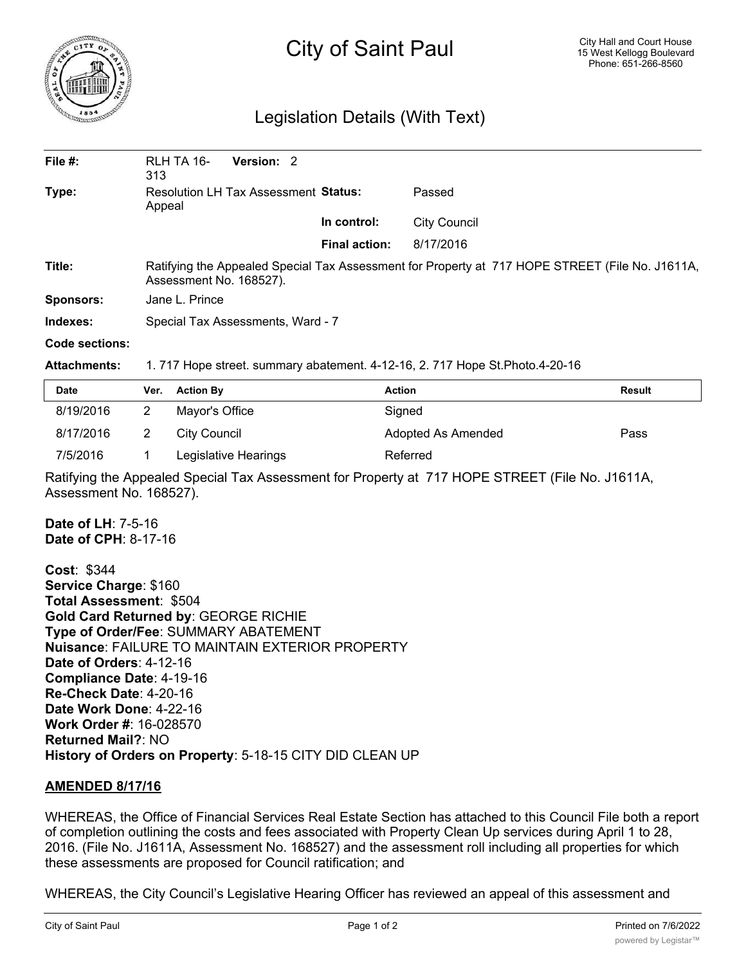

# City of Saint Paul

# Legislation Details (With Text)

| File $#$ :     | RLH TA 16-<br>313                                                                                                          | Version: 2 |  |                      |                     |  |  |
|----------------|----------------------------------------------------------------------------------------------------------------------------|------------|--|----------------------|---------------------|--|--|
| Type:          | <b>Resolution LH Tax Assessment Status:</b><br>Appeal                                                                      |            |  |                      | Passed              |  |  |
|                |                                                                                                                            |            |  | In control:          | <b>City Council</b> |  |  |
|                |                                                                                                                            |            |  | <b>Final action:</b> | 8/17/2016           |  |  |
| Title:         | Ratifying the Appealed Special Tax Assessment for Property at 717 HOPE STREET (File No. J1611A,<br>Assessment No. 168527). |            |  |                      |                     |  |  |
| Sponsors:      | Jane L. Prince                                                                                                             |            |  |                      |                     |  |  |
| Indexes:       | Special Tax Assessments, Ward - 7                                                                                          |            |  |                      |                     |  |  |
| Code sections: |                                                                                                                            |            |  |                      |                     |  |  |

#### **Attachments:** 1. 717 Hope street. summary abatement. 4-12-16, 2. 717 Hope St.Photo.4-20-16

| <b>Date</b> | Ver. | <b>Action By</b>     | Action             | <b>Result</b> |
|-------------|------|----------------------|--------------------|---------------|
| 8/19/2016   |      | Mayor's Office       | Signed             |               |
| 8/17/2016   |      | City Council         | Adopted As Amended | Pass          |
| 7/5/2016    |      | Legislative Hearings | Referred           |               |

Ratifying the Appealed Special Tax Assessment for Property at 717 HOPE STREET (File No. J1611A, Assessment No. 168527).

**Date of LH**: 7-5-16 **Date of CPH**: 8-17-16

**Cost**: \$344 **Service Charge**: \$160 **Total Assessment**: \$504 **Gold Card Returned by**: GEORGE RICHIE **Type of Order/Fee**: SUMMARY ABATEMENT **Nuisance**: FAILURE TO MAINTAIN EXTERIOR PROPERTY **Date of Orders**: 4-12-16 **Compliance Date**: 4-19-16 **Re-Check Date**: 4-20-16 **Date Work Done**: 4-22-16 **Work Order #**: 16-028570 **Returned Mail?**: NO **History of Orders on Property**: 5-18-15 CITY DID CLEAN UP

## **AMENDED 8/17/16**

WHEREAS, the Office of Financial Services Real Estate Section has attached to this Council File both a report of completion outlining the costs and fees associated with Property Clean Up services during April 1 to 28, 2016. (File No. J1611A, Assessment No. 168527) and the assessment roll including all properties for which these assessments are proposed for Council ratification; and

WHEREAS, the City Council's Legislative Hearing Officer has reviewed an appeal of this assessment and